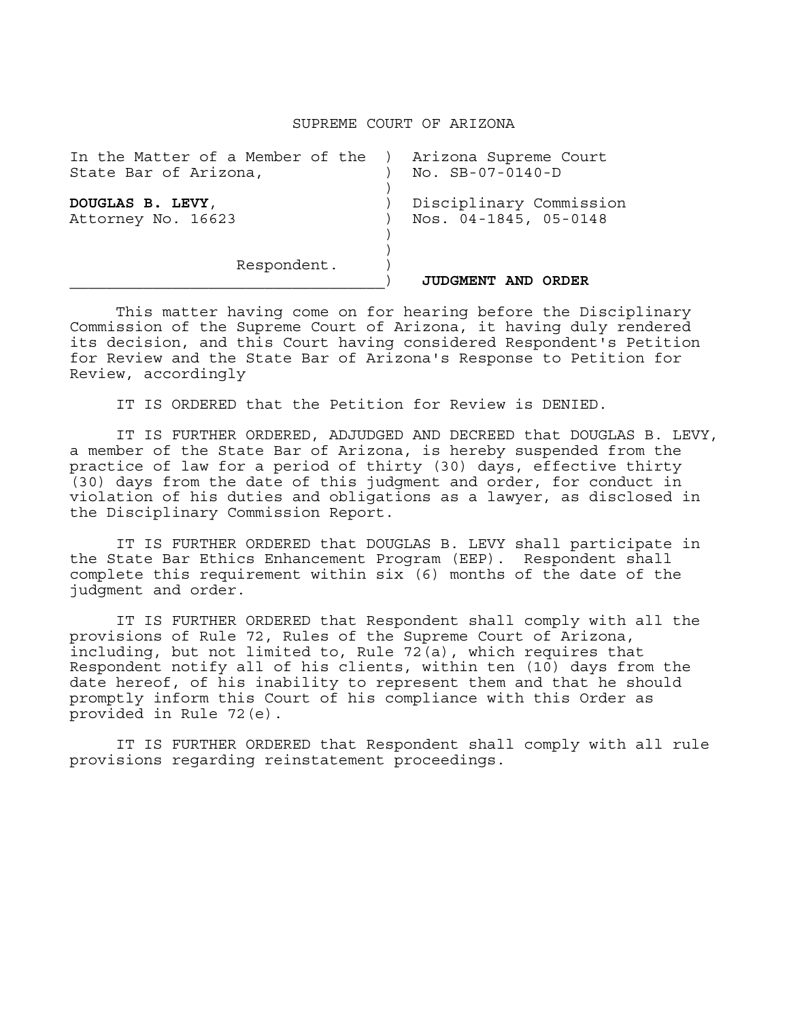## SUPREME COURT OF ARIZONA

| In the Matter of a Member of the<br>State Bar of Arizona, | Arizona Supreme Court<br>$NO.$ $SB-07-0140-D$    |
|-----------------------------------------------------------|--------------------------------------------------|
| DOUGLAS B. LEVY,<br>Attorney No. 16623                    | Disciplinary Commission<br>Nos. 04-1845, 05-0148 |
| Respondent.                                               | <b>JUDGMENT AND</b><br>ORDER                     |

This matter having come on for hearing before the Disciplinary Commission of the Supreme Court of Arizona, it having duly rendered its decision, and this Court having considered Respondent's Petition for Review and the State Bar of Arizona's Response to Petition for Review, accordingly

IT IS ORDERED that the Petition for Review is DENIED.

 IT IS FURTHER ORDERED, ADJUDGED AND DECREED that DOUGLAS B. LEVY, a member of the State Bar of Arizona, is hereby suspended from the practice of law for a period of thirty (30) days, effective thirty (30) days from the date of this judgment and order, for conduct in violation of his duties and obligations as a lawyer, as disclosed in the Disciplinary Commission Report.

 IT IS FURTHER ORDERED that DOUGLAS B. LEVY shall participate in the State Bar Ethics Enhancement Program (EEP). Respondent shall complete this requirement within six (6) months of the date of the judgment and order.

 IT IS FURTHER ORDERED that Respondent shall comply with all the provisions of Rule 72, Rules of the Supreme Court of Arizona, including, but not limited to, Rule  $72(a)$ , which requires that Respondent notify all of his clients, within ten  $(10)$  days from the date hereof, of his inability to represent them and that he should promptly inform this Court of his compliance with this Order as provided in Rule 72(e).

 IT IS FURTHER ORDERED that Respondent shall comply with all rule provisions regarding reinstatement proceedings.